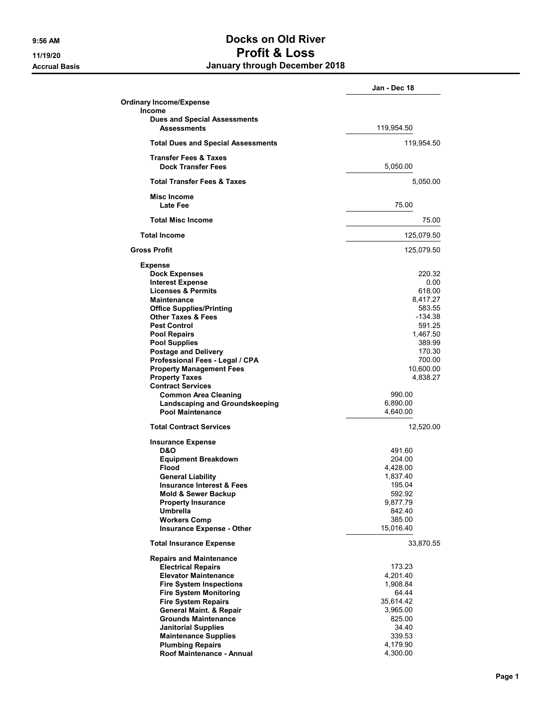## 9:56 AM Docks on Old River 11/19/20 Profit & Loss Accrual Basis **Accrual Basis January through December 2018**

|                                                               | Jan - Dec 18 |
|---------------------------------------------------------------|--------------|
| <b>Ordinary Income/Expense</b>                                |              |
| <b>Income</b>                                                 |              |
| <b>Dues and Special Assessments</b>                           |              |
| <b>Assessments</b>                                            | 119,954.50   |
| <b>Total Dues and Special Assessments</b>                     | 119,954.50   |
|                                                               |              |
| <b>Transfer Fees &amp; Taxes</b><br><b>Dock Transfer Fees</b> | 5,050.00     |
| <b>Total Transfer Fees &amp; Taxes</b>                        | 5,050.00     |
|                                                               |              |
| Misc Income<br>Late Fee                                       | 75.00        |
| <b>Total Misc Income</b>                                      | 75.00        |
| <b>Total Income</b>                                           | 125,079.50   |
| <b>Gross Profit</b>                                           | 125,079.50   |
| <b>Expense</b>                                                |              |
| <b>Dock Expenses</b>                                          | 220.32       |
| <b>Interest Expense</b>                                       | 0.00         |
| <b>Licenses &amp; Permits</b>                                 | 618.00       |
| <b>Maintenance</b>                                            | 8,417.27     |
| <b>Office Supplies/Printing</b>                               | 583.55       |
| <b>Other Taxes &amp; Fees</b>                                 | $-134.38$    |
| <b>Pest Control</b>                                           | 591.25       |
| <b>Pool Repairs</b>                                           | 1,467.50     |
| <b>Pool Supplies</b>                                          | 389.99       |
| <b>Postage and Delivery</b>                                   | 170.30       |
| Professional Fees - Legal / CPA                               | 700.00       |
| <b>Property Management Fees</b>                               | 10,600.00    |
| <b>Property Taxes</b>                                         | 4,838.27     |
| <b>Contract Services</b>                                      |              |
| <b>Common Area Cleaning</b>                                   | 990.00       |
| Landscaping and Groundskeeping                                | 6,890.00     |
| <b>Pool Maintenance</b>                                       |              |
|                                                               | 4,640.00     |
| <b>Total Contract Services</b>                                | 12,520.00    |
| <b>Insurance Expense</b>                                      |              |
| D&O                                                           | 491.60       |
| <b>Equipment Breakdown</b>                                    | 204.00       |
| <b>Flood</b>                                                  | 4,428.00     |
| <b>General Liability</b>                                      | 1,837.40     |
| <b>Insurance Interest &amp; Fees</b>                          | 195.04       |
| Mold & Sewer Backup                                           | 592.92       |
| <b>Property Insurance</b>                                     | 9,877.79     |
| <b>Umbrella</b>                                               | 842.40       |
| <b>Workers Comp</b>                                           | 385.00       |
| <b>Insurance Expense - Other</b>                              | 15,016.40    |
| <b>Total Insurance Expense</b>                                | 33,870.55    |
| <b>Repairs and Maintenance</b>                                |              |
| <b>Electrical Repairs</b>                                     | 173.23       |
| <b>Elevator Maintenance</b>                                   | 4,201.40     |
| <b>Fire System Inspections</b>                                | 1,908.84     |
| <b>Fire System Monitoring</b>                                 | 64.44        |
| <b>Fire System Repairs</b>                                    | 35,614.42    |
| <b>General Maint. &amp; Repair</b>                            | 3,965.00     |
| <b>Grounds Maintenance</b>                                    | 825.00       |
| <b>Janitorial Supplies</b>                                    | 34.40        |
| <b>Maintenance Supplies</b>                                   | 339.53       |
| <b>Plumbing Repairs</b>                                       | 4,179.90     |
| Roof Maintenance - Annual                                     | 4,300.00     |
|                                                               |              |